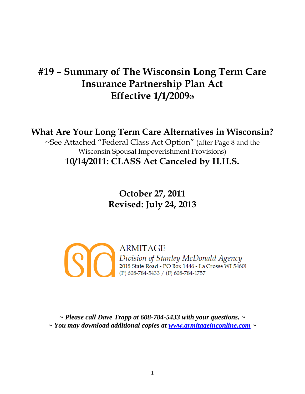## **#19 – Summary of The Wisconsin Long Term Care Insurance Partnership Plan Act Effective 1/1/2009**

**What Are Your Long Term Care Alternatives in Wisconsin?**

~See Attached "Federal Class Act Option" (after Page 8 and the Wisconsin Spousal Impoverishment Provisions) **10/14/2011: CLASS Act Canceled by H.H.S.**

> **October 27, 2011 Revised: July 24, 2013**

**ARMITAGE**  $|S|$ Division of Stanley McDonald Agency<br>2018 State Road - PO Box 1446 - La Crosse WI 54601 (P) 608-784-5433 / (F) 608-784-1757

*~ Please call Dave Trapp at 608-784-5433 with your questions. ~ ~ You may download additional copies at [www.armitageinconline.com](http://www.armitageinconline.com/) ~*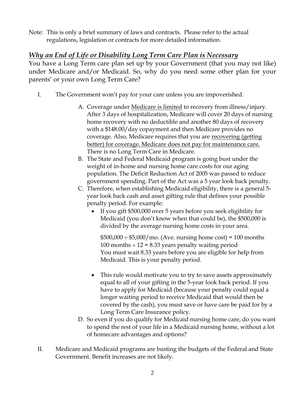Note: This is only a brief summary of laws and contracts. Please refer to the actual regulations, legislation or contracts for more detailed information.

## *Why an End of Life or Disability Long Term Care Plan is Necessary*

You have a Long Term care plan set up by your Government (that you may not like) under Medicare and/or Medicaid. So, why do you need some other plan for your parents' or your own Long Term Care?

- I. The Government won't pay for your care unless you are impoverished.
	- A. Coverage under Medicare is limited to recovery from illness/injury. After 3 days of hospitalization, Medicare will cover 20 days of nursing home recovery with no deductible and another 80 days of recovery with a \$148.00/day copayment and then Medicare provides no coverage. Also, Medicare requires that you are recovering (getting better) for coverage. Medicare does not pay for maintenance care. There is no Long Term Care in Medicare.
	- B. The State and Federal Medicaid program is going bust under the weight of in-home and nursing home care costs for our aging population. The Deficit Reduction Act of 2005 was passed to reduce government spending. Part of the Act was a 5 year look back penalty.
	- C. Therefore, when establishing Medicaid eligibility, there is a general 5 year look back cash and asset gifting rule that defines your possible penalty period. For example:
		- If you gift \$500,000 over 5 years before you seek eligibility for Medicaid (you don't know when that could be), the \$500,000 is divided by the average nursing home costs in your area.

 $$500,000 \div $5,000 \mod 6$ . (Ave. nursing home cost) = 100 months 100 months  $\div$  12 = 8.33 years penalty waiting period You must wait 8.33 years before you are eligible for help from Medicaid. This is your penalty period.

- This rule would motivate you to try to save assets approximately equal to all of your gifting in the 5-year look back period. If you have to apply for Medicaid (because your penalty could equal a longer waiting period to receive Medicaid that would then be covered by the cash), you must save or have care be paid for by a Long Term Care Insurance policy.
- D. So even if you do qualify for Medicaid nursing home care, do you want to spend the rest of your life in a Medicaid nursing home, without a lot of homecare advantages and options?
- II. Medicare and Medicaid programs are busting the budgets of the Federal and State Government. Benefit increases are not likely.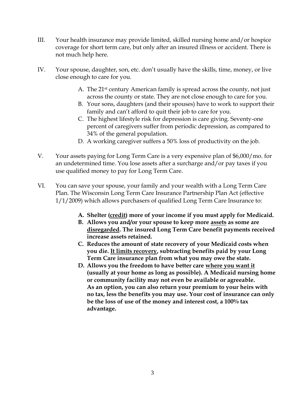- III. Your health insurance may provide limited, skilled nursing home and/or hospice coverage for short term care, but only after an insured illness or accident. There is not much help here.
- IV. Your spouse, daughter, son, etc. don't usually have the skills, time, money, or live close enough to care for you.
	- A. The 21<sup>st</sup> century American family is spread across the county, not just across the county or state. They are not close enough to care for you.
	- B. Your sons, daughters (and their spouses) have to work to support their family and can't afford to quit their job to care for you.
	- C. The highest lifestyle risk for depression is care giving. Seventy-one percent of caregivers suffer from periodic depression, as compared to 34% of the general population.
	- D. A working caregiver suffers a 50% loss of productivity on the job.
- V. Your assets paying for Long Term Care is a very expensive plan of \$6,000/mo. for an undetermined time. You lose assets after a surcharge and/or pay taxes if you use qualified money to pay for Long Term Care.
- VI. You can save your spouse, your family and your wealth with a Long Term Care Plan. The Wisconsin Long Term Care Insurance Partnership Plan Act (effective 1/1/2009) which allows purchasers of qualified Long Term Care Insurance to:
	- **A. Shelter (credit) more of your income if you must apply for Medicaid.**
	- **B. Allows you and/or your spouse to keep more assets as some are disregarded. The insured Long Term Care benefit payments received increase assets retained.**
	- **C. Reduces the amount of state recovery of your Medicaid costs when you die. It limits recovery, subtracting benefits paid by your Long Term Care insurance plan from what you may owe the state.**
	- **D. Allows you the freedom to have better care where you want it (usually at your home as long as possible). A Medicaid nursing home or community facility may not even be available or agreeable. As an option, you can also return your premium to your heirs with no tax, less the benefits you may use. Your cost of insurance can only be the loss of use of the money and interest cost, a 100% tax advantage.**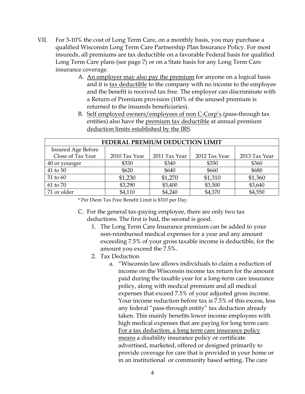- VII. For 3-10% the cost of Long Term Care, on a monthly basis, you may purchase a qualified Wisconsin Long Term Care Partnership Plan Insurance Policy. For most insureds, all premiums are tax deductible on a favorable Federal basis for qualified Long Term Care plans (see page 7) or on a State basis for any Long Term Care insurance coverage.
	- A. An employer may also pay the premium for anyone on a logical basis and it is tax deductible to the company with no income to the employee and the benefit is received tax free. The employer can discriminate with a Return of Premium provision (100% of the unused premium is returned to the insureds beneficiaries).
	- B. Self employed owners/employees of non C-Corp's (pass-through tax entities) also have the premium tax deductible at annual premium deduction limits established by the IRS.

| FEDERAL PREMIUM DEDUCTION LIMIT |               |               |               |               |  |
|---------------------------------|---------------|---------------|---------------|---------------|--|
| <b>Insured Age Before</b>       |               |               |               |               |  |
| Close of Tax Year               | 2010 Tax Year | 2011 Tax Year | 2012 Tax Year | 2013 Tax Year |  |
| 40 or younger                   | \$330         | \$340         | \$350         | \$360         |  |
| 41 to 50                        | \$620         | \$640         | \$660         | \$680         |  |
| 51 to 60                        | \$1,230       | \$1,270       | \$1,310       | \$1,360       |  |
| 61 to 70                        | \$3,290       | \$3,400       | \$3,500       | \$3,640       |  |
| 71 or older                     | \$4,110       | \$4,240       | \$4,370       | \$4,550       |  |

\* Per Diem Tax Free Benefit Limit is \$310 per Day.

- C. For the general tax-paying employee, there are only two tax deductions. The first is bad, the second is good.
	- 1. The Long Term Care Insurance premium can be added to your non-reimbursed medical expenses for a year and any amount exceeding 7.5% of your gross taxable income is deductible, for the amount you exceed the 7.5%.
	- 2. Tax Deduction
		- a. "Wisconsin law allows individuals to claim a reduction of income on the Wisconsin income tax return for the amount paid during the taxable year for a long-term care insurance policy, along with medical premium and all medical expenses that exceed 7.5% of your adjusted gross income. Your income reduction before tax is 7.5% of this excess, less any federal "pass-through entity" tax deduction already taken. This mainly benefits lower income employees with high medical expenses that are paying for long term care. For a tax deduction, a long term care insurance policy means a disability insurance policy or certificate advertised, marketed, offered or designed primarily to provide coverage for care that is provided in your home or in an institutional or community based setting. The care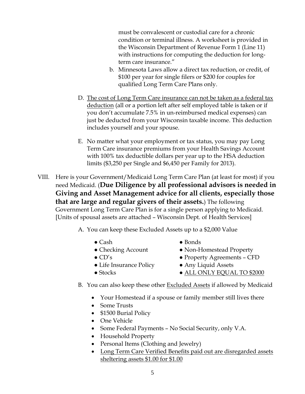must be convalescent or custodial care for a chronic condition or terminal illness. A worksheet is provided in the Wisconsin Department of Revenue Form 1 (Line 11) with instructions for computing the deduction for longterm care insurance."

- b. Minnesota Laws allow a direct tax reduction, or credit, of \$100 per year for single filers or \$200 for couples for qualified Long Term Care Plans only.
- D. The cost of Long Term Care insurance can not be taken as a federal tax deduction (all or a portion left after self employed table is taken or if you don't accumulate 7.5% in un-reimbursed medical expenses) can just be deducted from your Wisconsin taxable income. This deduction includes yourself and your spouse.
- E. No matter what your employment or tax status, you may pay Long Term Care insurance premiums from your Health Savings Account with 100% tax deductible dollars per year up to the HSA deduction limits (\$3,250 per Single and \$6,450 per Family for 2013).
- VIII. Here is your Government/Medicaid Long Term Care Plan (at least for most) if you need Medicaid. (**Due Diligence by all professional advisors is needed in Giving and Asset Management advice for all clients, especially those that are large and regular givers of their assets.**) The following Government Long Term Care Plan is for a single person applying to Medicaid. [Units of spousal assets are attached – Wisconsin Dept. of Health Services]
	- A. You can keep these Excluded Assets up to a \$2,000 Value
		- $\bullet$  Cash
		- Checking Account
		- $\bullet$  CD's
		- Life Insurance Policy
		- Stocks
- Bonds
- Non-Homestead Property
- Property Agreements CFD
- Any Liquid Assets
- ALL ONLY EQUAL TO \$2000
- B. You can also keep these other Excluded Assets if allowed by Medicaid
	- Your Homestead if a spouse or family member still lives there
	- Some Trusts
	- \$1500 Burial Policy
	- One Vehicle
	- Some Federal Payments No Social Security, only V.A.
	- Household Property
	- Personal Items (Clothing and Jewelry)
	- Long Term Care Verified Benefits paid out are disregarded assets sheltering assets \$1.00 for \$1.00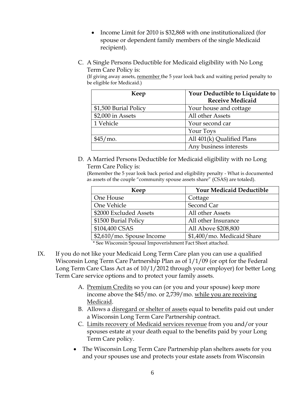- Income Limit for 2010 is \$32,868 with one institutionalized (for spouse or dependent family members of the single Medicaid recipient).
- C. A Single Persons Deductible for Medicaid eligibility with No Long Term Care Policy is:

(If giving away assets, remember the 5 year look back and waiting period penalty to be eligible for Medicaid.)

| Keep                  | Your Deductible to Liquidate to |
|-----------------------|---------------------------------|
|                       | <b>Receive Medicaid</b>         |
| \$1,500 Burial Policy | Your house and cottage          |
| \$2,000 in Assets     | All other Assets                |
| 1 Vehicle             | Your second car                 |
|                       | Your Toys                       |
| $$45/mo$ .            | All 401(k) Qualified Plans      |
|                       | Any business interests          |

D. A Married Persons Deductible for Medicaid eligibility with no Long Term Care Policy is:

(Remember the 5 year look back period and eligibility penalty - What is documented as assets of the couple "community spouse assets share" (CSAS) are totaled).

| Keep                      | <b>Your Medicaid Deductible</b> |  |  |
|---------------------------|---------------------------------|--|--|
| One House                 | Cottage                         |  |  |
| One Vehicle               | Second Car                      |  |  |
| \$2000 Excluded Assets    | All other Assets                |  |  |
| \$1500 Burial Policy      | All other Insurance             |  |  |
| \$104,400 CSAS            | All Above \$208,800             |  |  |
| \$2,610/mo. Spouse Income | \$1,400/mo. Medicaid Share      |  |  |

\* See Wisconsin Spousal Impoverishment Fact Sheet attached.

- IX. If you do not like your Medicaid Long Term Care plan you can use a qualified Wisconsin Long Term Care Partnership Plan as of 1/1/09 (or opt for the Federal Long Term Care Class Act as of 10/1/2012 through your employer) for better Long Term Care service options and to protect your family assets.
	- A. Premium Credits so you can (or you and your spouse) keep more income above the \$45/mo. or 2,739/mo. while you are receiving Medicaid.
	- B. Allows a disregard or shelter of assets equal to benefits paid out under a Wisconsin Long Term Care Partnership contract.
	- C. Limits recovery of Medicaid services revenue from you and/or your spouses estate at your death equal to the benefits paid by your Long Term Care policy.
	- The Wisconsin Long Term Care Partnership plan shelters assets for you and your spouses use and protects your estate assets from Wisconsin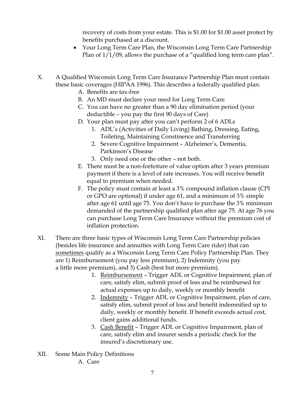recovery of costs from your estate. This is \$1.00 for \$1.00 asset protect by benefits purchased at a discount.

- Your Long Term Care Plan, the Wisconsin Long Term Care Partnership Plan of  $1/1/09$ , allows the purchase of a "qualified long term care plan".
- X. A Qualified Wisconsin Long Term Care Insurance Partnership Plan must contain these basic coverages (HIPAA 1996). This describes a federally qualified plan.
	- A. Benefits are tax-free
	- B. An MD must declare your need for Long Term Care
	- C. You can have no greater than a 90 day elimination period (your deductible – you pay the first 90 days of Care)
	- D. Your plan must pay after you can't perform 2 of 6 ADLs
		- 1. ADL's (Activities of Daily Living) Bathing, Dressing, Eating, Toileting, Maintaining Constinence and Transferring
		- 2. Severe Cognitive Impairment Alzheimer's, Dementia, Parkinson's Disease
		- 3. Only need one or the other not both.
	- E. There must be a non-forfeiture of value option after 3 years premium payment if there is a level of rate increases. You will receive benefit equal to premium when needed.
	- F. The policy must contain at least a 3% compound inflation clause (CPI or GPO are optional) if under age 61, and a minimum of 3% simple after age 61 until age 75. You don't have to purchase the 3% minimum demanded of the partnership qualified plan after age 75. At age 76 you can purchase Long Term Care Insurance without the premium cost of inflation protection.
- XI. There are three basic types of Wisconsin Long Term Care Partnership policies (besides life insurance and annuities with Long Term Care rider) that can sometimes qualify as a Wisconsin Long Term Care Policy Partnership Plan. They are 1) Reimbursement (you pay less premium), 2) Indemnity (you pay a little more premium), and 3) Cash (best but more premium).
	- 1. Reimbursement Trigger ADL or Cognitive Impairment, plan of care, satisfy elim, submit proof of loss and be reimbursed for actual expenses up to daily, weekly or monthly benefit
	- 2. Indemnity Trigger ADL or Cognitive Impairment, plan of care, satisfy elim, submit proof of loss and benefit indemnified up to daily, weekly or monthly benefit. If benefit exceeds actual cost, client gains additional funds.
	- 3. Cash Benefit Trigger ADL or Cognitive Impairment, plan of care, satisfy elim and insurer sends a periodic check for the insured's discretionary use.
- XII. Some Main Policy Definitions A. Care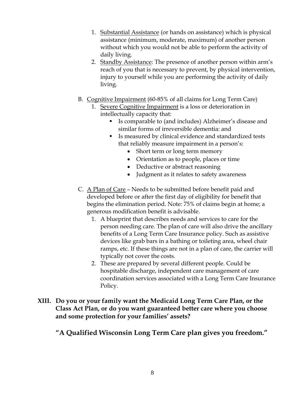- 1. Substantial Assistance (or hands on assistance) which is physical assistance (minimum, moderate, maximum) of another person without which you would not be able to perform the activity of daily living.
- 2. Standby Assistance: The presence of another person within arm's reach of you that is necessary to prevent, by physical intervention, injury to yourself while you are performing the activity of daily living.
- B. Cognitive Impairment (60-85% of all claims for Long Term Care)
	- 1. Severe Cognitive Impairment is a loss or deterioration in intellectually capacity that:
		- Is comparable to (and includes) Alzheimer's disease and similar forms of irreversible dementia: and
		- Is measured by clinical evidence and standardized tests that reliably measure impairment in a person's:
			- Short term or long term memory
			- Orientation as to people, places or time
			- Deductive or abstract reasoning
			- Judgment as it relates to safety awareness
- C. A Plan of Care Needs to be submitted before benefit paid and developed before or after the first day of eligibility for benefit that begins the elimination period. Note: 75% of claims begin at home; a generous modification benefit is advisable.
	- 1. A blueprint that describes needs and services to care for the person needing care. The plan of care will also drive the ancillary benefits of a Long Term Care Insurance policy. Such as assistive devices like grab bars in a bathing or toileting area, wheel chair ramps, etc. If these things are not in a plan of care, the carrier will typically not cover the costs.
	- 2. These are prepared by several different people. Could be hospitable discharge, independent care management of care coordination services associated with a Long Term Care Insurance Policy.
- **XIII. Do you or your family want the Medicaid Long Term Care Plan, or the Class Act Plan, or do you want guaranteed better care where you choose and some protection for your families' assets?**

**"A Qualified Wisconsin Long Term Care plan gives you freedom."**